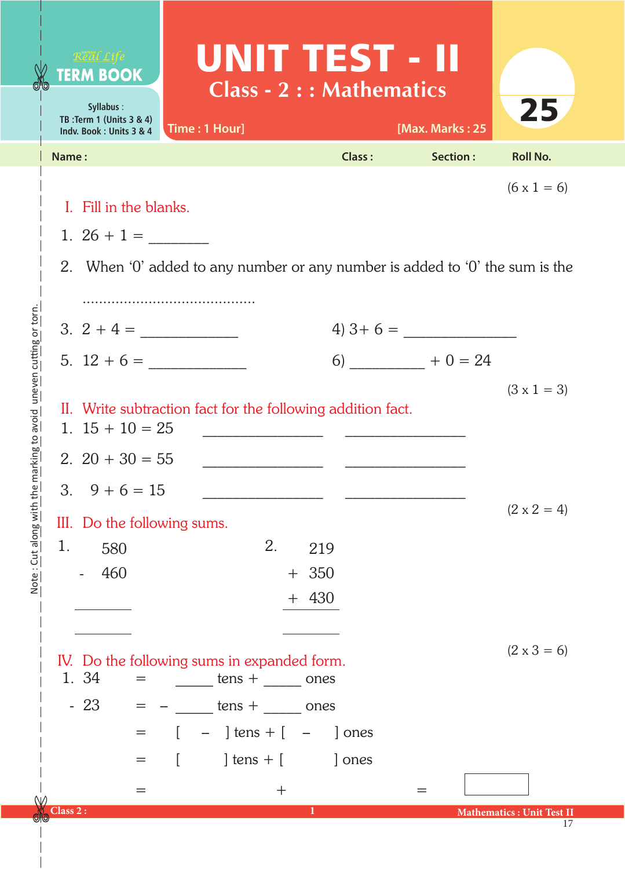|                                                                      | Real Life<br><b>TERM BOOK</b><br>Syllabus:<br>TB: Term 1 (Units 3 & 4)<br>Indv. Book: Units 3 & 4                                             | Time: 1 Hour]                                                                                                                                                                                       | UNIT TEST - II<br><b>Class - 2 : : Mathematics</b> | [Max. Marks: 25 | 25                                     |
|----------------------------------------------------------------------|-----------------------------------------------------------------------------------------------------------------------------------------------|-----------------------------------------------------------------------------------------------------------------------------------------------------------------------------------------------------|----------------------------------------------------|-----------------|----------------------------------------|
|                                                                      | Name:                                                                                                                                         |                                                                                                                                                                                                     | <b>Class:</b>                                      | Section:        | <b>Roll No.</b>                        |
|                                                                      | $(6 \times 1 = 6)$<br>I. Fill in the blanks.<br>1. $26 + 1 =$<br>2. When '0' added to any number or any number is added to '0' the sum is the |                                                                                                                                                                                                     |                                                    |                 |                                        |
|                                                                      |                                                                                                                                               |                                                                                                                                                                                                     |                                                    | $4) 3+6 =$      |                                        |
| marking to avoid uneven cutting or torn.<br>Note: Cut along with the | $5. 12 + 6 =$                                                                                                                                 |                                                                                                                                                                                                     |                                                    | $6)$ + 0 = 24   |                                        |
|                                                                      | $(3 \times 1 = 3)$<br>II. Write subtraction fact for the following addition fact.<br>1. $15 + 10 = 25$<br>2. $20 + 30 = 55$                   |                                                                                                                                                                                                     |                                                    |                 |                                        |
|                                                                      | 3.<br>$9 + 6 = 15$<br>III. Do the following sums.<br>1.<br>580                                                                                | 2.                                                                                                                                                                                                  | 219                                                |                 | $(2 \times 2 = 4)$                     |
|                                                                      | 460<br>1. 34<br>$=$<br>$-23$<br>$=$<br>=                                                                                                      | IV. Do the following sums in expanded form.<br>$\frac{1}{2}$ tens + $\frac{1}{2}$ ones<br>$=$ $ \frac{\tan x}{100}$ tens + $\frac{\pi}{100}$ ones<br>$-$ ] tens + [ $-$<br>] tens $+$ [<br>$\lceil$ | $+350$<br>$+ 430$<br>] ones<br>] ones              |                 | $(2 \times 3 = 6)$                     |
| NΙΛ                                                                  | Class 2:                                                                                                                                      | $\mathrm{+}$                                                                                                                                                                                        | 1                                                  |                 | <b>Mathematics: Unit Test II</b><br>17 |